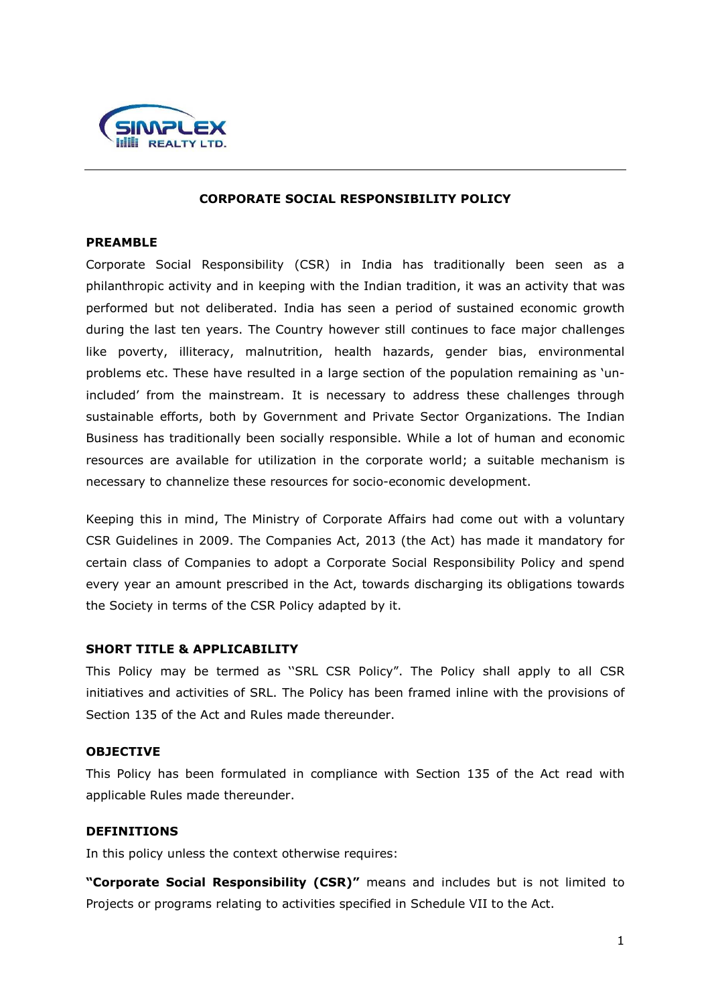

#### **CORPORATE SOCIAL RESPONSIBILITY POLICY**

## **PREAMBLE**

Corporate Social Responsibility (CSR) in India has traditionally been seen as a philanthropic activity and in keeping with the Indian tradition, it was an activity that was performed but not deliberated. India has seen a period of sustained economic growth during the last ten years. The Country however still continues to face major challenges like poverty, illiteracy, malnutrition, health hazards, gender bias, environmental problems etc. These have resulted in a large section of the population remaining as 'unincluded' from the mainstream. It is necessary to address these challenges through sustainable efforts, both by Government and Private Sector Organizations. The Indian Business has traditionally been socially responsible. While a lot of human and economic resources are available for utilization in the corporate world; a suitable mechanism is necessary to channelize these resources for socio-economic development.

Keeping this in mind, The Ministry of Corporate Affairs had come out with a voluntary CSR Guidelines in 2009. The Companies Act, 2013 (the Act) has made it mandatory for certain class of Companies to adopt a Corporate Social Responsibility Policy and spend every year an amount prescribed in the Act, towards discharging its obligations towards the Society in terms of the CSR Policy adapted by it.

### **SHORT TITLE & APPLICABILITY**

This Policy may be termed as ''SRL CSR Policy". The Policy shall apply to all CSR initiatives and activities of SRL. The Policy has been framed inline with the provisions of Section 135 of the Act and Rules made thereunder.

### **OBJECTIVE**

This Policy has been formulated in compliance with Section 135 of the Act read with applicable Rules made thereunder.

## **DEFINITIONS**

In this policy unless the context otherwise requires:

**"Corporate Social Responsibility (CSR)"** means and includes but is not limited to Projects or programs relating to activities specified in Schedule VII to the Act.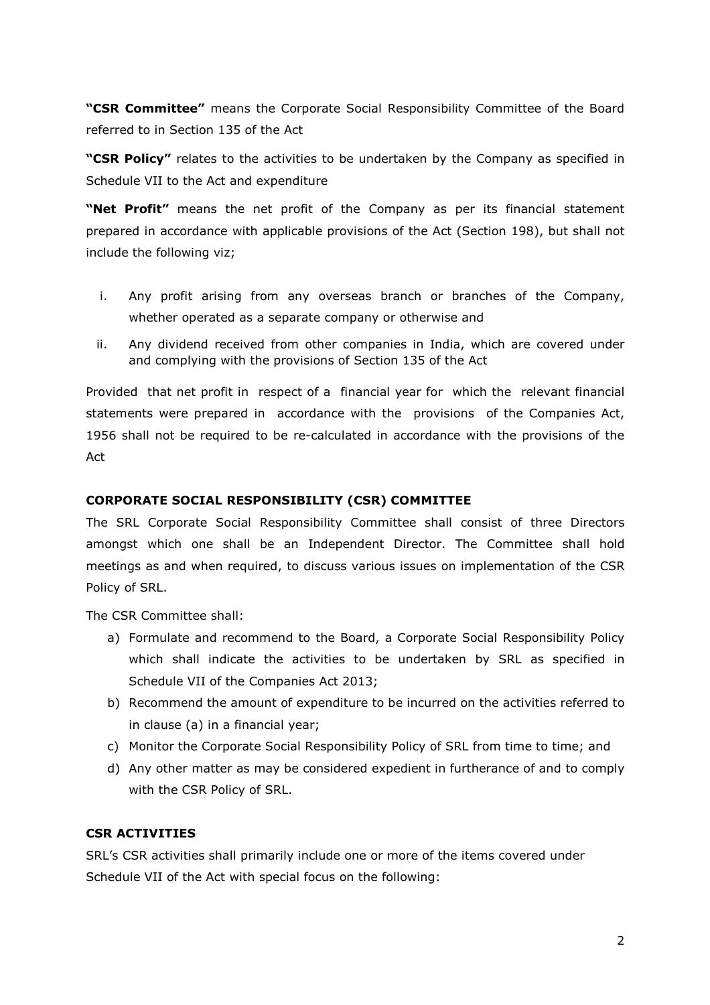**"CSR Committee"** means the Corporate Social Responsibility Committee of the Board referred to in Section 135 of the Act

**"CSR Policy"** relates to the activities to be undertaken by the Company as specified in Schedule VII to the Act and expenditure

**"Net Profit"** means the net profit of the Company as per its financial statement prepared in accordance with applicable provisions of the Act (Section 198), but shall not include the following viz;

- i. Any profit arising from any overseas branch or branches of the Company, whether operated as a separate company or otherwise and
- ii. Any dividend received from other companies in India, which are covered under and complying with the provisions of Section 135 of the Act

Provided that net profit in respect of a financial year for which the relevant financial statements were prepared in accordance with the provisions of the Companies Act, 1956 shall not be required to be re-calculated in accordance with the provisions of the Act

## **CORPORATE SOCIAL RESPONSIBILITY (CSR) COMMITTEE**

The SRL Corporate Social Responsibility Committee shall consist of three Directors amongst which one shall be an Independent Director. The Committee shall hold meetings as and when required, to discuss various issues on implementation of the CSR Policy of SRL.

The CSR Committee shall:

- a) Formulate and recommend to the Board, a Corporate Social Responsibility Policy which shall indicate the activities to be undertaken by SRL as specified in Schedule VII of the Companies Act 2013;
- b) Recommend the amount of expenditure to be incurred on the activities referred to in clause (a) in a financial year;
- c) Monitor the Corporate Social Responsibility Policy of SRL from time to time; and
- d) Any other matter as may be considered expedient in furtherance of and to comply with the CSR Policy of SRL.

# **CSR ACTIVITIES**

SRL's CSR activities shall primarily include one or more of the items covered under Schedule VII of the Act with special focus on the following: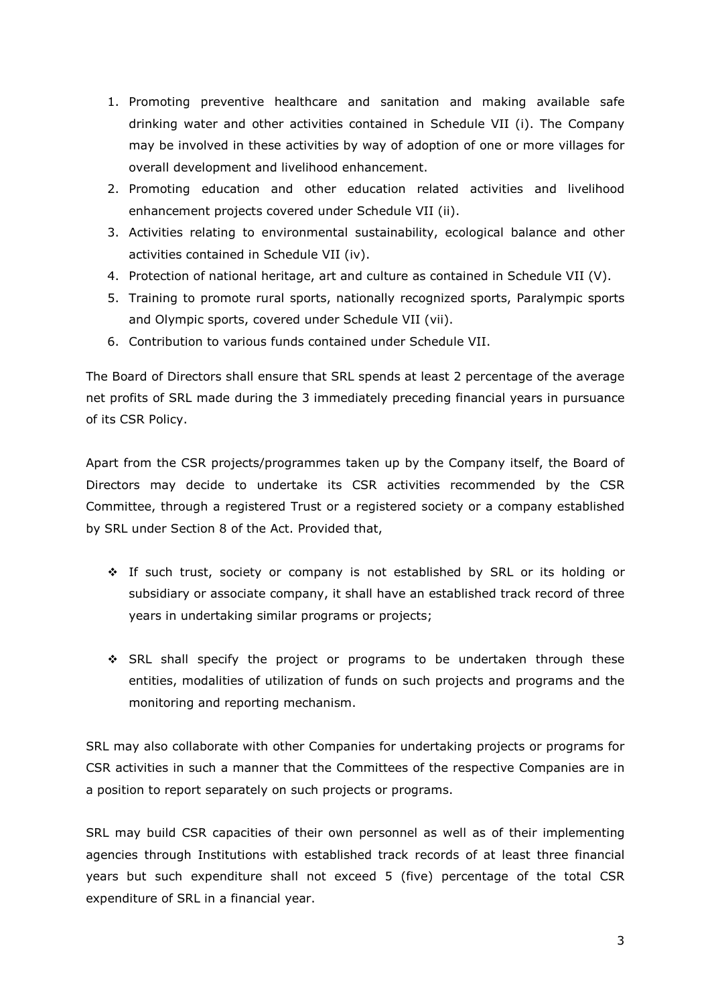- 1. Promoting preventive healthcare and sanitation and making available safe drinking water and other activities contained in Schedule VII (i). The Company may be involved in these activities by way of adoption of one or more villages for overall development and livelihood enhancement.
- 2. Promoting education and other education related activities and livelihood enhancement projects covered under Schedule VII (ii).
- 3. Activities relating to environmental sustainability, ecological balance and other activities contained in Schedule VII (iv).
- 4. Protection of national heritage, art and culture as contained in Schedule VII (V).
- 5. Training to promote rural sports, nationally recognized sports, Paralympic sports and Olympic sports, covered under Schedule VII (vii).
- 6. Contribution to various funds contained under Schedule VII.

The Board of Directors shall ensure that SRL spends at least 2 percentage of the average net profits of SRL made during the 3 immediately preceding financial years in pursuance of its CSR Policy.

Apart from the CSR projects/programmes taken up by the Company itself, the Board of Directors may decide to undertake its CSR activities recommended by the CSR Committee, through a registered Trust or a registered society or a company established by SRL under Section 8 of the Act. Provided that,

- If such trust, society or company is not established by SRL or its holding or subsidiary or associate company, it shall have an established track record of three years in undertaking similar programs or projects;
- SRL shall specify the project or programs to be undertaken through these entities, modalities of utilization of funds on such projects and programs and the monitoring and reporting mechanism.

SRL may also collaborate with other Companies for undertaking projects or programs for CSR activities in such a manner that the Committees of the respective Companies are in a position to report separately on such projects or programs.

SRL may build CSR capacities of their own personnel as well as of their implementing agencies through Institutions with established track records of at least three financial years but such expenditure shall not exceed 5 (five) percentage of the total CSR expenditure of SRL in a financial year.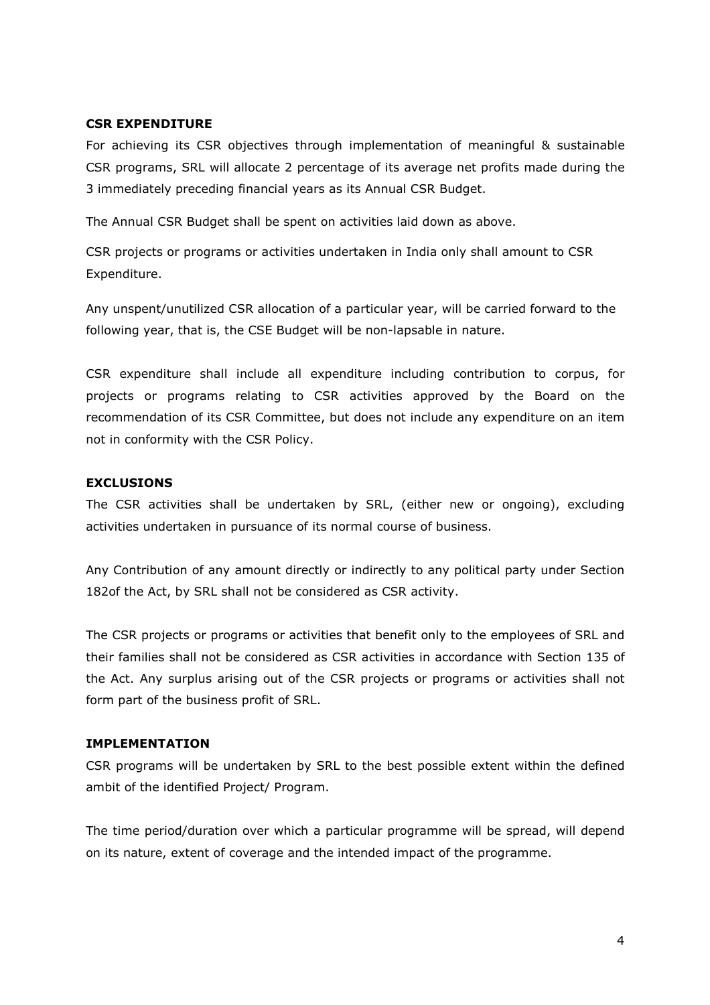## **CSR EXPENDITURE**

For achieving its CSR objectives through implementation of meaningful & sustainable CSR programs, SRL will allocate 2 percentage of its average net profits made during the 3 immediately preceding financial years as its Annual CSR Budget.

The Annual CSR Budget shall be spent on activities laid down as above.

CSR projects or programs or activities undertaken in India only shall amount to CSR Expenditure.

Any unspent/unutilized CSR allocation of a particular year, will be carried forward to the following year, that is, the CSE Budget will be non-lapsable in nature.

CSR expenditure shall include all expenditure including contribution to corpus, for projects or programs relating to CSR activities approved by the Board on the recommendation of its CSR Committee, but does not include any expenditure on an item not in conformity with the CSR Policy.

## **EXCLUSIONS**

The CSR activities shall be undertaken by SRL, (either new or ongoing), excluding activities undertaken in pursuance of its normal course of business.

Any Contribution of any amount directly or indirectly to any political party under Section 182of the Act, by SRL shall not be considered as CSR activity.

The CSR projects or programs or activities that benefit only to the employees of SRL and their families shall not be considered as CSR activities in accordance with Section 135 of the Act. Any surplus arising out of the CSR projects or programs or activities shall not form part of the business profit of SRL.

# **IMPLEMENTATION**

CSR programs will be undertaken by SRL to the best possible extent within the defined ambit of the identified Project/ Program.

The time period/duration over which a particular programme will be spread, will depend on its nature, extent of coverage and the intended impact of the programme.